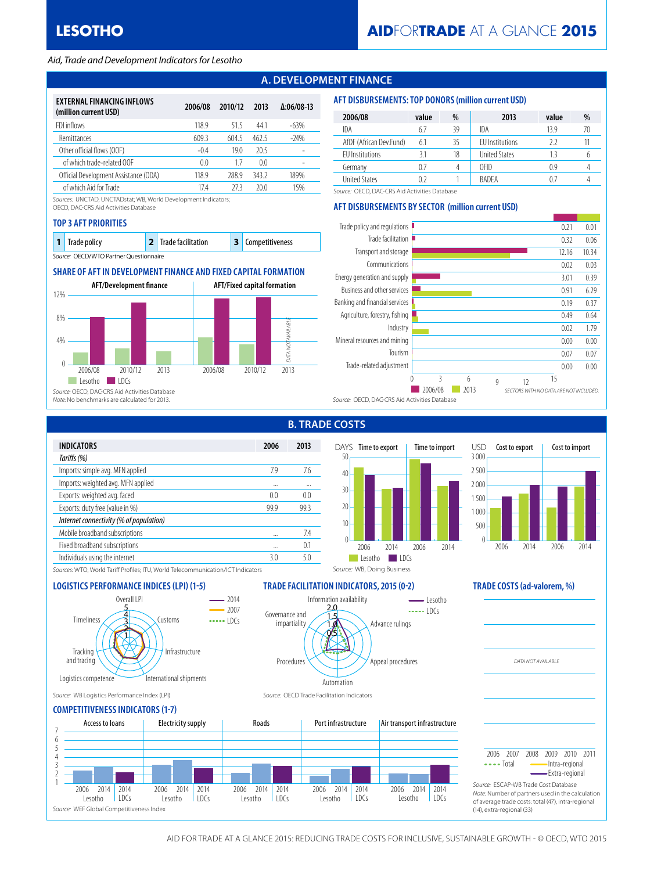#### *Aid, Trade and Development Indicators for Lesotho*

## **A. DEVELOPMENT FINANCE**

| EXTERNAL FINANCING INFLOWS<br>(million current USD) | 2006/08 | 2010/12 | 2013           | $\Delta:06/08-13$ |
|-----------------------------------------------------|---------|---------|----------------|-------------------|
| FDI inflows                                         | 118.9   | 515     | 441            | $-63%$            |
| <b>Remittances</b>                                  | 609.3   | 604.5   | 462.5          | $-24%$            |
| Other official flows (OOF)                          | $-0.4$  | 19.0    | 20.5           |                   |
| of which trade-related OOF                          | 0.0     | 1.7     | 0 <sub>0</sub> |                   |
| Official Development Assistance (ODA)               | 118.9   | 288.9   | 3432           | 189%              |
| of which Aid for Trade                              | 174     | 27 3    | 20.0           | 15%               |

*Sources:* UNCTAD, UNCTADstat; WB, World Development Indicators;

OECD, DAC-CRS Aid Activities Database

#### **TOP 3 AFT PRIORITIES**

| <b>1</b> Trade policy                  | 2 Trade facilitation | <b>3</b> Competitiveness |
|----------------------------------------|----------------------|--------------------------|
| Source: OECD/WTO Partner Questionnaire |                      |                          |

### **SHARE OF AFT IN DEVELOPMENT FINANCE AND FIXED CAPITAL FORMATION**



#### **AFT DISBURSEMENTS: TOP DONORS (million current USD)**

| 2006/08                 | value | %  | 2013                   | value | %  |
|-------------------------|-------|----|------------------------|-------|----|
| IDA                     | 6.7   | 39 | IDA                    | 139   | 70 |
| AfDF (African Dev.Fund) | 6.1   | 35 | <b>FU</b> Institutions | 77    |    |
| <b>FU</b> Institutions  |       | 18 | <b>United States</b>   |       |    |
| Germany                 | 0.7   |    | OFID                   | 0.9   |    |
| <b>United States</b>    |       |    | <b>BADFA</b>           |       |    |

*Source:* OECD, DAC-CRS Aid Activities Database

### **AFT DISBURSEMENTS BY SECTOR (million current USD)**



| <b>INDICATORS</b>                       | 2006 | 2013 |
|-----------------------------------------|------|------|
| Tariffs (%)                             |      |      |
| Imports: simple avg. MFN applied        | 7.9  | 7.6  |
| Imports: weighted avg. MFN applied      |      |      |
| Exports: weighted avg. faced            | 0.0  | 0.0  |
| Exports: duty free (value in %)         | 99.9 | 99.3 |
| Internet connectivity (% of population) |      |      |
| Mobile broadband subscriptions          |      | 7.4  |
| Fixed broadband subscriptions           |      | 0.1  |
| Individuals using the internet          | 3.0  | 5.0  |
|                                         |      |      |

# **B. TRADE COSTS**

Information availability

0.5 1.0 1.5 2.0

Automation

Procedures

Governance and impartiality



Advance rulings

 $\frac{1}{2}$  $-$  Lesotho

Appeal procedures



*DATA NOT AVAILABLE*

*Sources:* WTO, World Tariff Profiles; ITU, World Telecommunication/ICT Indicators

### **LOGISTICS PERFORMANCE INDICES (LPI) (1-5) TRADE FACILITATION INDICATORS, 2015 (0-2) TRADE COSTS (ad-valorem, %)**



#### *Source:* WB Logistics Performance Index (LPI) *Source:* OECD Trade Facilitation Indicators

#### **COMPETITIVENESS INDICATORS (1-7)**